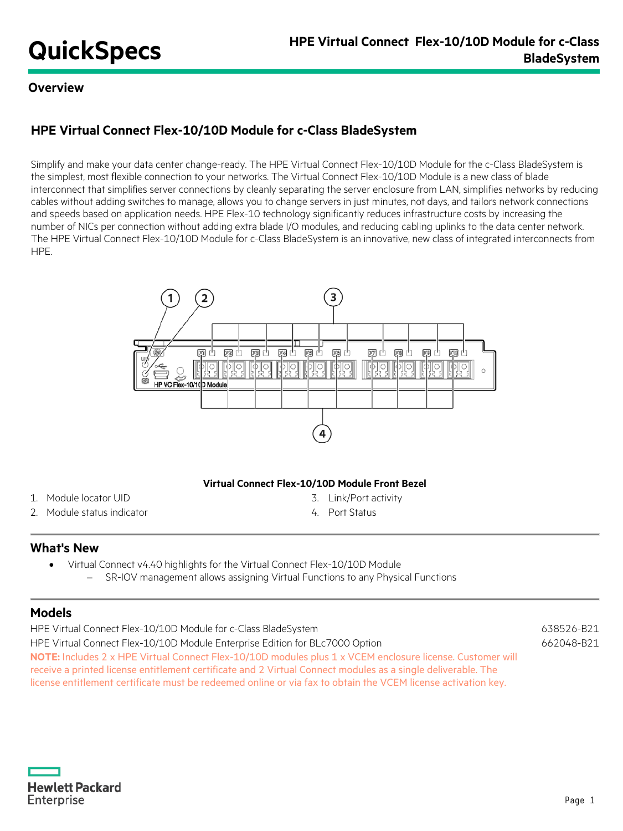## **Overview**

# **HPE Virtual Connect Flex-10/10D Module for c-Class BladeSystem**

Simplify and make your data center change-ready. The HPE Virtual Connect Flex-10/10D Module for the c-Class BladeSystem is the simplest, most flexible connection to your networks. The Virtual Connect Flex-10/10D Module is a new class of blade interconnect that simplifies server connections by cleanly separating the server enclosure from LAN, simplifies networks by reducing cables without adding switches to manage, allows you to change servers in just minutes, not days, and tailors network connections and speeds based on application needs. HPE Flex-10 technology significantly reduces infrastructure costs by increasing the number of NICs per connection without adding extra blade I/O modules, and reducing cabling uplinks to the data center network. The HPE Virtual Connect Flex-10/10D Module for c-Class BladeSystem is an innovative, new class of integrated interconnects from HPE.



## **Virtual Connect Flex-10/10D Module Front Bezel**

- 1. Module locator UID 3. Link/Port activity
- 2. Module status indicator 120 and 120 and 120 and 120 and 130 and 14. Port Status
- -

## **What's New**

• Virtual Connect v4.40 highlights for the Virtual Connect Flex-10/10D Module SR-IOV management allows assigning Virtual Functions to any Physical Functions

## **Models**

| HPE Virtual Connect Flex-10/10D Module for c-Class BladeSystem                                                | 638526-B21 |
|---------------------------------------------------------------------------------------------------------------|------------|
| HPE Virtual Connect Flex-10/10D Module Enterprise Edition for BLc7000 Option                                  | 662048-B21 |
| NOTE: Includes 2 x HPE Virtual Connect Flex-10/10D modules plus 1 x VCEM enclosure license. Customer will     |            |
| receive a printed license entitlement certificate and 2 Virtual Connect modules as a single deliverable. The  |            |
| license entitlement certificate must be redeemed online or via fax to obtain the VCEM license activation key. |            |

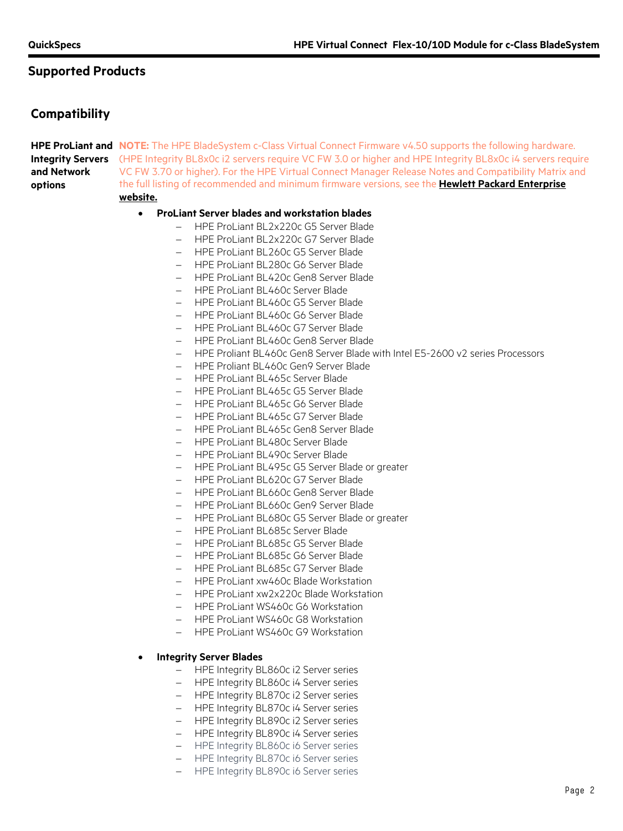## **Compatibility**

**HPE ProLiant and NOTE:** The HPE BladeSystem c-Class Virtual Connect Firmware v4.50 supports the following hardware. Integrity Servers (HPE Integrity BL8x0c i2 servers require VC FW 3.0 or higher and HPE Integrity BL8x0c i4 servers require **and Network options** VC FW 3.70 or higher). For the HPE Virtual Connect Manager Release Notes and Compatibility Matrix and the full listing of recommended and minimum firmware versions, see the **[Hewlett Packard Enterprise](http://www.hpe.com/)  [website.](http://www.hpe.com/)**

## • **ProLiant Server blades and workstation blades**

- − HPE ProLiant BL2x220c G5 Server Blade
- − HPE ProLiant BL2x220c G7 Server Blade
- − HPE ProLiant BL260c G5 Server Blade
- − HPE ProLiant BL280c G6 Server Blade
- − HPE ProLiant BL420c Gen8 Server Blade
- − HPE ProLiant BL460c Server Blade
- − HPE ProLiant BL460c G5 Server Blade
- − HPE ProLiant BL460c G6 Server Blade
- − HPE ProLiant BL460c G7 Server Blade
- − HPE ProLiant BL460c Gen8 Server Blade
- − HPE Proliant BL460c Gen8 Server Blade with Intel E5-2600 v2 series Processors
- − HPE Proliant BL460c Gen9 Server Blade
- − HPE ProLiant BL465c Server Blade
- − HPE ProLiant BL465c G5 Server Blade
- − HPE ProLiant BL465c G6 Server Blade
- − HPE ProLiant BL465c G7 Server Blade
- − HPE ProLiant BL465c Gen8 Server Blade
- − HPE ProLiant BL480c Server Blade
- − HPE ProLiant BL490c Server Blade
- − HPE ProLiant BL495c G5 Server Blade or greater
- − HPE ProLiant BL620c G7 Server Blade
- − HPE ProLiant BL660c Gen8 Server Blade
- − HPE ProLiant BL660c Gen9 Server Blade
- − HPE ProLiant BL680c G5 Server Blade or greater
- − HPE ProLiant BL685c Server Blade
- − HPE ProLiant BL685c G5 Server Blade
- − HPE ProLiant BL685c G6 Server Blade
- − HPE ProLiant BL685c G7 Server Blade
- − HPE ProLiant xw460c Blade Workstation
- − HPE ProLiant xw2x220c Blade Workstation
- − HPE ProLiant WS460c G6 Workstation
- − HPE ProLiant WS460c G8 Workstation
- − HPE ProLiant WS460c G9 Workstation

#### • **Integrity Server Blades**

- − HPE Integrity BL860c i2 Server series
- − HPE Integrity BL860c i4 Server series
- − HPE Integrity BL870c i2 Server series
- − HPE Integrity BL870c i4 Server series
- − HPE Integrity BL890c i2 Server series
- − HPE Integrity BL890c i4 Server series
- − HPE Integrity BL860c i6 Server series
- − HPE Integrity BL870c i6 Server series
- − HPE Integrity BL890c i6 Server series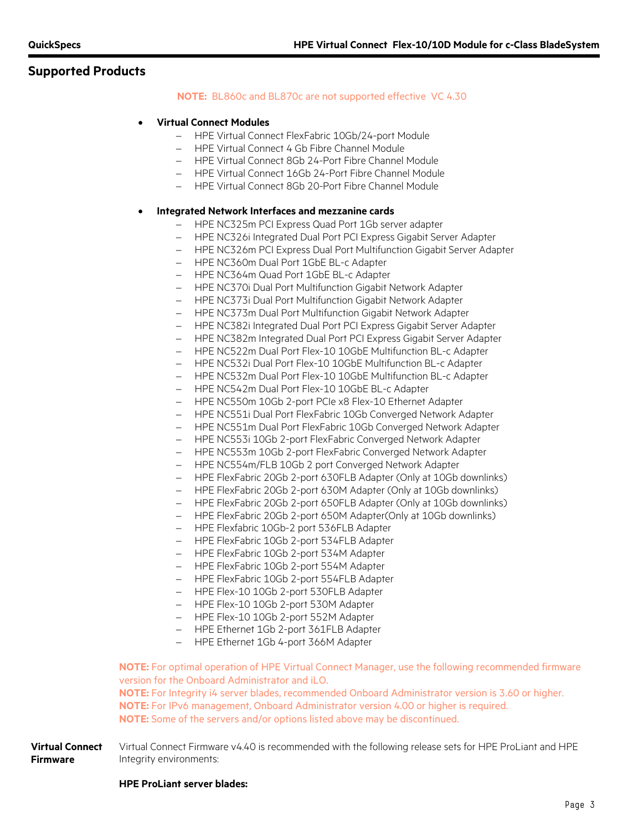## **NOTE:** BL860c and BL870c are not supported effective VC 4.30

#### • **Virtual Connect Modules**

- − HPE Virtual Connect FlexFabric 10Gb/24-port Module
- − HPE Virtual Connect 4 Gb Fibre Channel Module
- − HPE Virtual Connect 8Gb 24-Port Fibre Channel Module
- − HPE Virtual Connect 16Gb 24-Port Fibre Channel Module
- − HPE Virtual Connect 8Gb 20-Port Fibre Channel Module

#### • **Integrated Network Interfaces and mezzanine cards**

- − HPE NC325m PCI Express Quad Port 1Gb server adapter
- − HPE NC326i Integrated Dual Port PCI Express Gigabit Server Adapter
- − HPE NC326m PCI Express Dual Port Multifunction Gigabit Server Adapter
- − HPE NC360m Dual Port 1GbE BL-c Adapter
- − HPE NC364m Quad Port 1GbE BL-c Adapter
- − HPE NC370i Dual Port Multifunction Gigabit Network Adapter
- − HPE NC373i Dual Port Multifunction Gigabit Network Adapter
- − HPE NC373m Dual Port Multifunction Gigabit Network Adapter
- − HPE NC382i Integrated Dual Port PCI Express Gigabit Server Adapter
- − HPE NC382m Integrated Dual Port PCI Express Gigabit Server Adapter
- − HPE NC522m Dual Port Flex-10 10GbE Multifunction BL-c Adapter
- − HPE NC532i Dual Port Flex-10 10GbE Multifunction BL-c Adapter
- − HPE NC532m Dual Port Flex-10 10GbE Multifunction BL-c Adapter
- − HPE NC542m Dual Port Flex-10 10GbE BL-c Adapter
- − HPE NC550m 10Gb 2-port PCIe x8 Flex-10 Ethernet Adapter
- − HPE NC551i Dual Port FlexFabric 10Gb Converged Network Adapter
- − HPE NC551m Dual Port FlexFabric 10Gb Converged Network Adapter
- − HPE NC553i 10Gb 2-port FlexFabric Converged Network Adapter
- − HPE NC553m 10Gb 2-port FlexFabric Converged Network Adapter
- − HPE NC554m/FLB 10Gb 2 port Converged Network Adapter
- − HPE FlexFabric 20Gb 2-port 630FLB Adapter (Only at 10Gb downlinks)
- − HPE FlexFabric 20Gb 2-port 630M Adapter (Only at 10Gb downlinks)
- − HPE FlexFabric 20Gb 2-port 650FLB Adapter (Only at 10Gb downlinks)
- − HPE FlexFabric 20Gb 2-port 650M Adapter(Only at 10Gb downlinks)
- − HPE Flexfabric 10Gb-2 port 536FLB Adapter
- − HPE FlexFabric 10Gb 2-port 534FLB Adapter
- − HPE FlexFabric 10Gb 2-port 534M Adapter
- − HPE FlexFabric 10Gb 2-port 554M Adapter
- − HPE FlexFabric 10Gb 2-port 554FLB Adapter
- − HPE Flex-10 10Gb 2-port 530FLB Adapter
- − HPE Flex-10 10Gb 2-port 530M Adapter
- − HPE Flex-10 10Gb 2-port 552M Adapter
- − HPE Ethernet 1Gb 2-port 361FLB Adapter
- − HPE Ethernet 1Gb 4-port 366M Adapter

**NOTE:** For optimal operation of HPE Virtual Connect Manager, use the following recommended firmware version for the Onboard Administrator and iLO.

**NOTE:** For Integrity i4 server blades, recommended Onboard Administrator version is 3.60 or higher. **NOTE:** For IPv6 management, Onboard Administrator version 4.00 or higher is required. **NOTE:** Some of the servers and/or options listed above may be discontinued.

**Virtual Connect Firmware** Virtual Connect Firmware v4.40 is recommended with the following release sets for HPE ProLiant and HPE Integrity environments:

## **HPE ProLiant server blades:**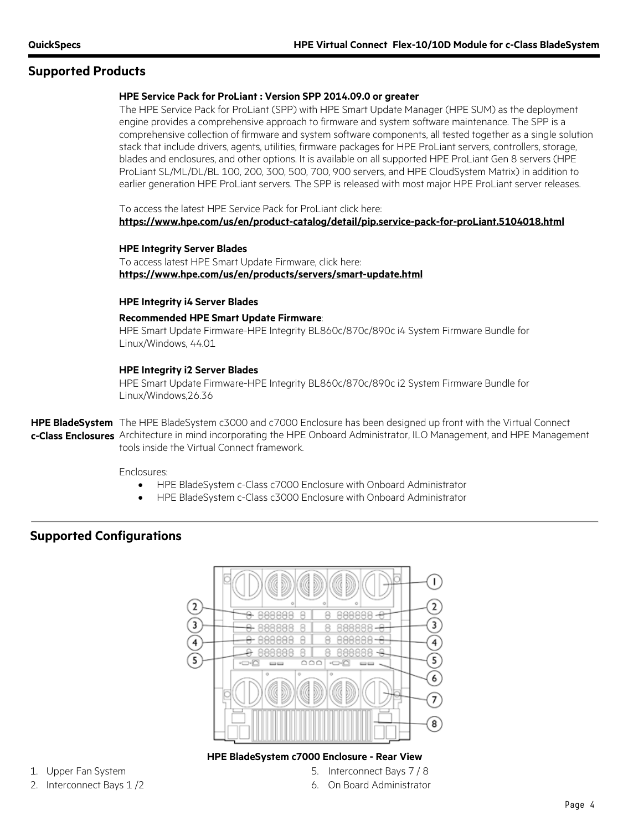### **HPE Service Pack for ProLiant : Version SPP 2014.09.0 or greater**

The HPE Service Pack for ProLiant (SPP) with HPE Smart Update Manager (HPE SUM) as the deployment engine provides a comprehensive approach to firmware and system software maintenance. The SPP is a comprehensive collection of firmware and system software components, all tested together as a single solution stack that include drivers, agents, utilities, firmware packages for HPE ProLiant servers, controllers, storage, blades and enclosures, and other options. It is available on all supported HPE ProLiant Gen 8 servers (HPE ProLiant SL/ML/DL/BL 100, 200, 300, 500, 700, 900 servers, and HPE CloudSystem Matrix) in addition to earlier generation HPE ProLiant servers. The SPP is released with most major HPE ProLiant server releases.

To access the latest HPE Service Pack for ProLiant click here: **<https://www.hpe.com/us/en/product-catalog/detail/pip.service-pack-for-proLiant.5104018.html>**

#### **HPE Integrity Server Blades**

To access latest HPE Smart Update Firmware, click here: **<https://www.hpe.com/us/en/products/servers/smart-update.html>**

#### **HPE Integrity i4 Server Blades**

#### **Recommended HPE Smart Update Firmware**:

HPE Smart Update Firmware-HPE Integrity BL860c/870c/890c i4 System Firmware Bundle for Linux/Windows, 44.01

#### **HPE Integrity i2 Server Blades**

HPE Smart Update Firmware-HPE Integrity BL860c/870c/890c i2 System Firmware Bundle for Linux/Windows,26.36

**HPE BladeSystem**  The HPE BladeSystem c3000 and c7000 Enclosure has been designed up front with the Virtual Connect **c-Class Enclosures** Architecture in mind incorporating the HPE Onboard Administrator, ILO Management, and HPE Management tools inside the Virtual Connect framework.

#### Enclosures:

- HPE BladeSystem c-Class c7000 Enclosure with Onboard Administrator
- HPE BladeSystem c-Class c3000 Enclosure with Onboard Administrator

## **Supported Configurations**



- 
- 

## **HPE BladeSystem c7000 Enclosure - Rear View**

- 1. Upper Fan System 5. Interconnect Bays 7 / 8
- 2. Interconnect Bays 1/2 6. On Board Administrator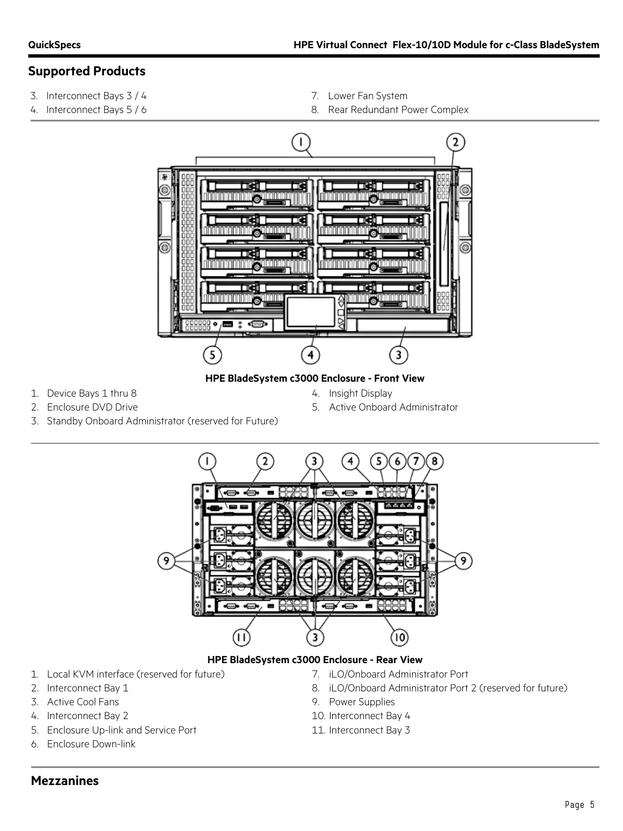- 3. Interconnect Bays 3 / 4 7. Lower Fan System
- 
- 
- 4. Interconnect Bays 5 / 6 8. Rear Redundant Power Complex



## **HPE BladeSystem c3000 Enclosure - Front View**

- 1. Device Bays 1 thru 8 4. Insight Display
	-
- 
- 2. Enclosure DVD Drive 6. Active Onboard Administrator
- 3. Standby Onboard Administrator (reserved for Future)



- 
- 
- 
- 
- 5. Enclosure Up-link and Service Port 11. Interconnect Bay 3
- 6. Enclosure Down-link
- 1. Local KVM interface (reserved for future) 7. iLO/Onboard Administrator Port
- 2. Interconnect Bay 1 8. iLO/Onboard Administrator Port 2 (reserved for future)
- 3. Active Cool Fans **9. Power Supplies**
- 4. Interconnect Bay 2 10. Interconnect Bay 4
	-

## **Mezzanines**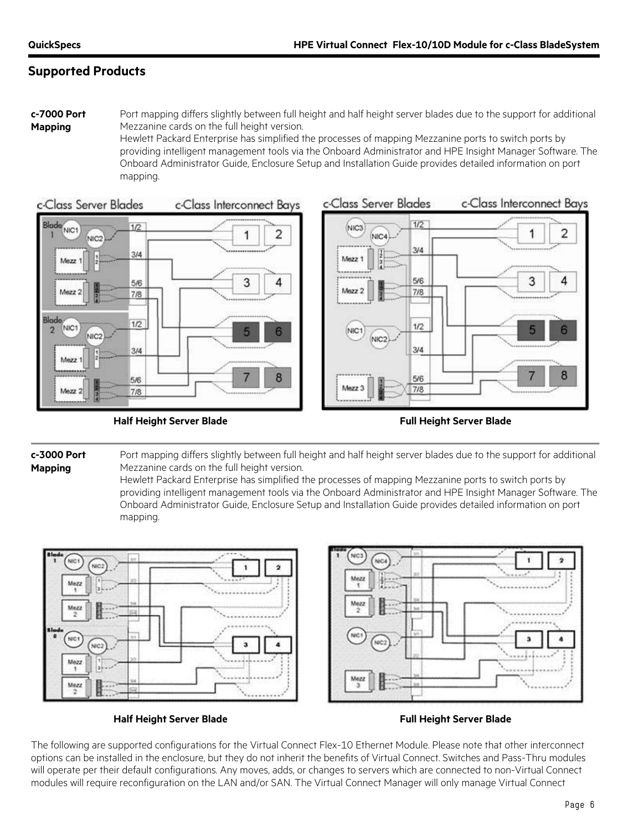**c-7000 Port Mapping**

Port mapping differs slightly between full height and half height server blades due to the support for additional Mezzanine cards on the full height version.

Hewlett Packard Enterprise has simplified the processes of mapping Mezzanine ports to switch ports by providing intelligent management tools via the Onboard Administrator and HPE Insight Manager Software. The Onboard Administrator Guide, Enclosure Setup and Installation Guide provides detailed information on port mapping.



**Half Height Server Blade Full Height Server Blade**



**c-3000 Port Mapping**

Port mapping differs slightly between full height and half height server blades due to the support for additional Mezzanine cards on the full height version.

Hewlett Packard Enterprise has simplified the processes of mapping Mezzanine ports to switch ports by providing intelligent management tools via the Onboard Administrator and HPE Insight Manager Software. The Onboard Administrator Guide, Enclosure Setup and Installation Guide provides detailed information on port mapping.



**Half Height Server Blade Full Height Server Blade**

The following are supported configurations for the Virtual Connect Flex-10 Ethernet Module. Please note that other interconnect options can be installed in the enclosure, but they do not inherit the benefits of Virtual Connect. Switches and Pass-Thru modules will operate per their default configurations. Any moves, adds, or changes to servers which are connected to non-Virtual Connect modules will require reconfiguration on the LAN and/or SAN. The Virtual Connect Manager will only manage Virtual Connect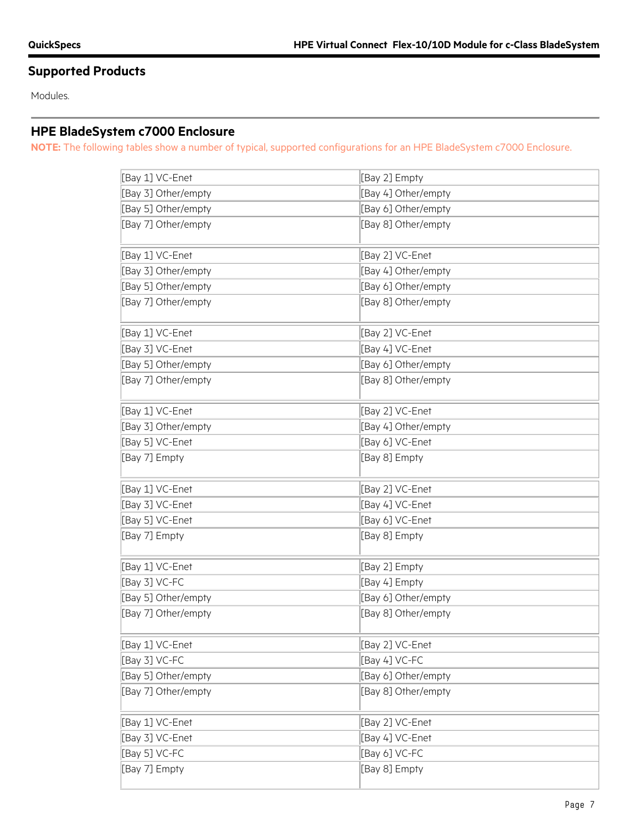Modules.

# **HPE BladeSystem c7000 Enclosure**

**NOTE:** The following tables show a number of typical, supported configurations for an HPE BladeSystem c7000 Enclosure.

| [Bay 1] VC-Enet     | [Bay 2] Empty       |
|---------------------|---------------------|
| [Bay 3] Other/empty | [Bay 4] Other/empty |
| [Bay 5] Other/empty | [Bay 6] Other/empty |
| [Bay 7] Other/empty | [Bay 8] Other/empty |
| [Bay 1] VC-Enet     | [Bay 2] VC-Enet     |
| [Bay 3] Other/empty | [Bay 4] Other/empty |
| [Bay 5] Other/empty | [Bay 6] Other/empty |
| [Bay 7] Other/empty | [Bay 8] Other/empty |
| [Bay 1] VC-Enet     | [Bay 2] VC-Enet     |
| [Bay 3] VC-Enet     | [Bay 4] VC-Enet     |
| [Bay 5] Other/empty | [Bay 6] Other/empty |
| [Bay 7] Other/empty | [Bay 8] Other/empty |
| [Bay 1] VC-Enet     | [Bay 2] VC-Enet     |
| [Bay 3] Other/empty | [Bay 4] Other/empty |
| [Bay 5] VC-Enet     | [Bay 6] VC-Enet     |
| [Bay 7] Empty       | [Bay 8] Empty       |
|                     |                     |
| [Bay 1] VC-Enet     | [Bay 2] VC-Enet     |
| [Bay 3] VC-Enet     | [Bay 4] VC-Enet     |
| [Bay 5] VC-Enet     | [Bay 6] VC-Enet     |
| [Bay 7] Empty       | [Bay 8] Empty       |
| [Bay 1] VC-Enet     | [Bay 2] Empty       |
| [Bay 3] VC-FC       | [Bay 4] Empty       |
| [Bay 5] Other/empty | [Bay 6] Other/empty |
| [Bay 7] Other/empty | [Bay 8] Other/empty |
| [Bay 1] VC-Enet     | [Bay 2] VC-Enet     |
| [Bay 3] VC-FC       | [Bay 4] VC-FC       |
| [Bay 5] Other/empty | [Bay 6] Other/empty |
| [Bay 7] Other/empty | [Bay 8] Other/empty |
| [Bay 1] VC-Enet     | [Bay 2] VC-Enet     |
| [Bay 3] VC-Enet     | [Bay 4] VC-Enet     |
| [Bay 5] VC-FC       | [Bay 6] VC-FC       |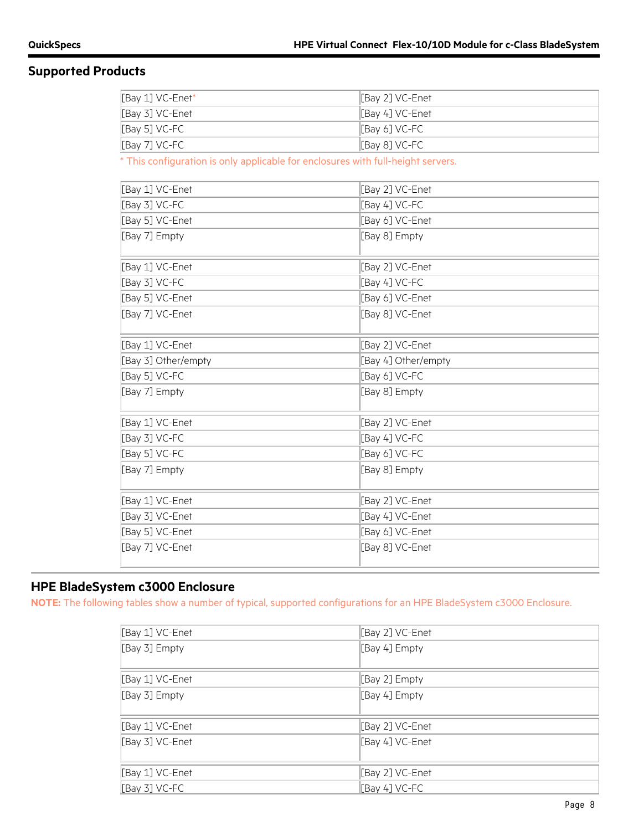| [Bay 1] VC-Enet*                                                                 | [Bay 2] VC-Enet     |
|----------------------------------------------------------------------------------|---------------------|
| [Bay 3] VC-Enet                                                                  | [Bay 4] VC-Enet     |
| [Bay 5] VC-FC                                                                    | [Bay 6] VC-FC       |
| [Bay 7] VC-FC                                                                    | [Bay 8] VC-FC       |
| * This configuration is only applicable for enclosures with full-height servers. |                     |
| [Bay 1] VC-Enet                                                                  | [Bay 2] VC-Enet     |
| [Bay 3] VC-FC                                                                    | [Bay 4] VC-FC       |
| [Bay 5] VC-Enet                                                                  | [Bay 6] VC-Enet     |
| [Bay 7] Empty                                                                    | [Bay 8] Empty       |
| [Bay 1] VC-Enet                                                                  | [Bay 2] VC-Enet     |
| [Bay 3] VC-FC                                                                    | [Bay 4] VC-FC       |
| [Bay 5] VC-Enet                                                                  | [Bay 6] VC-Enet     |
| [Bay 7] VC-Enet                                                                  | [Bay 8] VC-Enet     |
| [Bay 1] VC-Enet                                                                  | [Bay 2] VC-Enet     |
| [Bay 3] Other/empty                                                              | [Bay 4] Other/empty |
| [Bay 5] VC-FC                                                                    | [Bay 6] VC-FC       |
| [Bay 7] Empty                                                                    | [Bay 8] Empty       |
| [Bay 1] VC-Enet                                                                  | [Bay 2] VC-Enet     |
| [Bay 3] VC-FC                                                                    | [Bay 4] VC-FC       |
| [Bay 5] VC-FC                                                                    | [Bay 6] VC-FC       |
| [Bay 7] Empty                                                                    | [Bay 8] Empty       |
| [Bay 1] VC-Enet                                                                  | [Bay 2] VC-Enet     |
| [Bay 3] VC-Enet                                                                  | [Bay 4] VC-Enet     |

## **HPE BladeSystem c3000 Enclosure**

**NOTE:** The following tables show a number of typical, supported configurations for an HPE BladeSystem c3000 Enclosure.

[Bay 5] VC-Enet [Bay 6] VC-Enet [Bay 7] VC-Enet [Bay 8] VC-Enet

| [Bay 1] VC-Enet | [Bay 2] VC-Enet |
|-----------------|-----------------|
| [Bay 3] Empty   | [Bay 4] Empty   |
|                 |                 |
| [Bay 1] VC-Enet | [Bay 2] Empty   |
| [Bay 3] Empty   | [Bay 4] Empty   |
|                 |                 |
| [Bay 1] VC-Enet | [Bay 2] VC-Enet |
| [Bay 3] VC-Enet | [Bay 4] VC-Enet |
| [Bay 1] VC-Enet | [Bay 2] VC-Enet |
| [Bay 3] VC-FC   | [Bay 4] VC-FC   |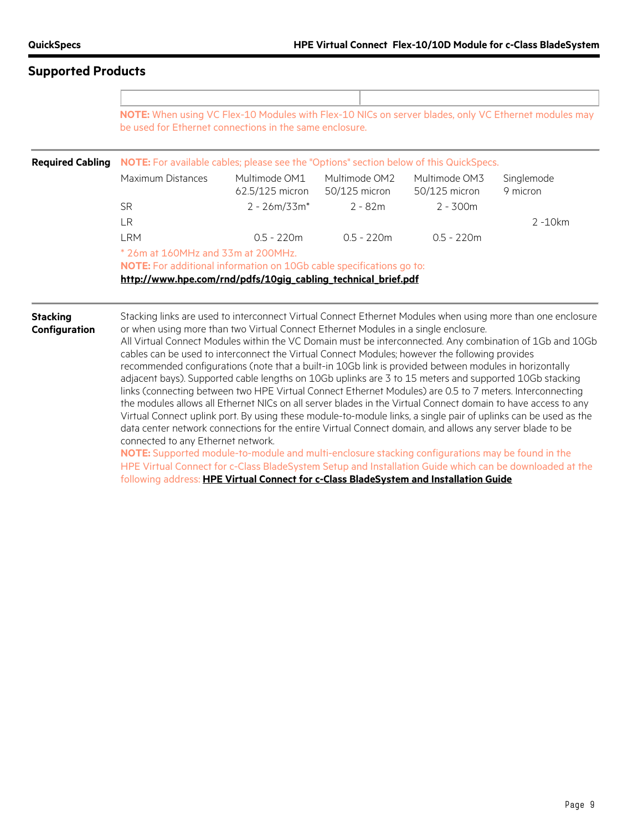|                                  | be used for Ethernet connections in the same enclosure.                                                                                                                                                                                                                                                                                                                                                                                                                                                                                                                                                                                                                                                                                                                                                                                                                                                                                                                              |                                  |                                |                                | NOTE: When using VC Flex-10 Modules with Flex-10 NICs on server blades, only VC Ethernet modules may |
|----------------------------------|--------------------------------------------------------------------------------------------------------------------------------------------------------------------------------------------------------------------------------------------------------------------------------------------------------------------------------------------------------------------------------------------------------------------------------------------------------------------------------------------------------------------------------------------------------------------------------------------------------------------------------------------------------------------------------------------------------------------------------------------------------------------------------------------------------------------------------------------------------------------------------------------------------------------------------------------------------------------------------------|----------------------------------|--------------------------------|--------------------------------|------------------------------------------------------------------------------------------------------|
| <b>Required Cabling</b>          | NOTE: For available cables; please see the "Options" section below of this QuickSpecs.                                                                                                                                                                                                                                                                                                                                                                                                                                                                                                                                                                                                                                                                                                                                                                                                                                                                                               |                                  |                                |                                |                                                                                                      |
|                                  | Maximum Distances                                                                                                                                                                                                                                                                                                                                                                                                                                                                                                                                                                                                                                                                                                                                                                                                                                                                                                                                                                    | Multimode OM1<br>62.5/125 micron | Multimode OM2<br>50/125 micron | Multimode OM3<br>50/125 micron | Singlemode<br>9 micron                                                                               |
|                                  | <b>SR</b>                                                                                                                                                                                                                                                                                                                                                                                                                                                                                                                                                                                                                                                                                                                                                                                                                                                                                                                                                                            | $2 - 26m/33m*$                   | $2 - 82m$                      | $2 - 300m$                     |                                                                                                      |
|                                  | LR                                                                                                                                                                                                                                                                                                                                                                                                                                                                                                                                                                                                                                                                                                                                                                                                                                                                                                                                                                                   |                                  |                                |                                | $2 - 10km$                                                                                           |
|                                  | <b>LRM</b>                                                                                                                                                                                                                                                                                                                                                                                                                                                                                                                                                                                                                                                                                                                                                                                                                                                                                                                                                                           | $0.5 - 220m$                     | $0.5 - 220m$                   | $0.5 - 220m$                   |                                                                                                      |
|                                  | $*$ 26m at 160MHz and 33m at 200MHz.<br><b>NOTE:</b> For additional information on 10Gb cable specifications go to:<br>http://www.hpe.com/rnd/pdfs/10gig_cabling_technical_brief.pdf                                                                                                                                                                                                                                                                                                                                                                                                                                                                                                                                                                                                                                                                                                                                                                                                 |                                  |                                |                                |                                                                                                      |
| <b>Stacking</b><br>Configuration | Stacking links are used to interconnect Virtual Connect Ethernet Modules when using more than one enclosure<br>or when using more than two Virtual Connect Ethernet Modules in a single enclosure.<br>All Virtual Connect Modules within the VC Domain must be interconnected. Any combination of 1Gb and 10Gb<br>cables can be used to interconnect the Virtual Connect Modules; however the following provides<br>recommended configurations (note that a built-in 10Gb link is provided between modules in horizontally<br>adjacent bays). Supported cable lengths on 10Gb uplinks are 3 to 15 meters and supported 10Gb stacking<br>links (connecting between two HPE Virtual Connect Ethernet Modules) are 0.5 to 7 meters. Interconnecting<br>the modules allows all Ethernet NICs on all server blades in the Virtual Connect domain to have access to any<br>Virtual Connect uplink port. By using these module-to-module links, a single pair of uplinks can be used as the |                                  |                                |                                |                                                                                                      |

data center network connections for the entire Virtual Connect domain, and allows any server blade to be connected to any Ethernet network.

**NOTE:** Supported module-to-module and multi-enclosure stacking configurations may be found in the HPE Virtual Connect for c-Class BladeSystem Setup and Installation Guide which can be downloaded at the following address: **HPE [Virtual Connect for c-Class BladeSystem and Installation Guide](http://h20566.www2.hpe.com/hpsc/doc/public/display?docId=emr_na-c05132897)**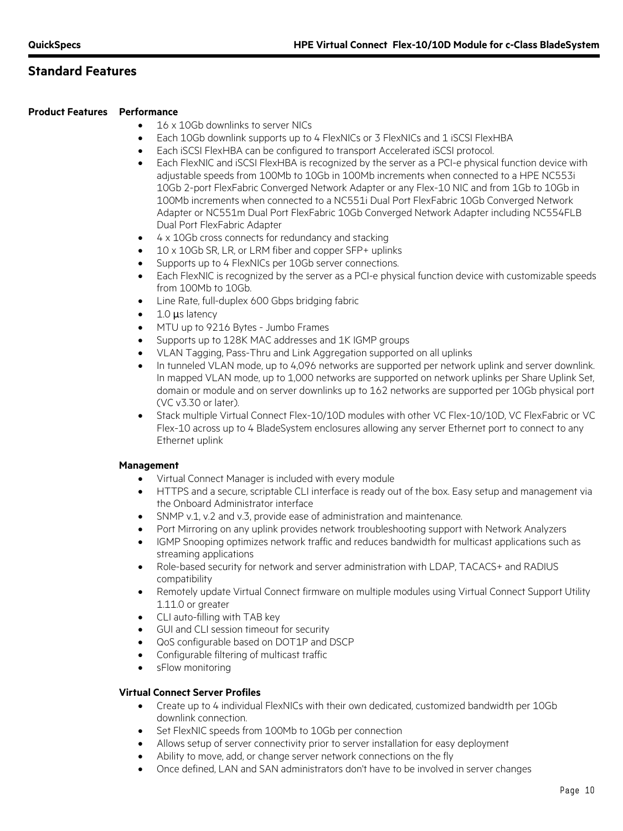## **Standard Features**

## **Product Features Performance**

- 16 x 10Gb downlinks to server NICs
- Each 10Gb downlink supports up to 4 FlexNICs or 3 FlexNICs and 1 iSCSI FlexHBA
- Each iSCSI FlexHBA can be configured to transport Accelerated iSCSI protocol.
- Each FlexNIC and iSCSI FlexHBA is recognized by the server as a PCI-e physical function device with adjustable speeds from 100Mb to 10Gb in 100Mb increments when connected to a HPE NC553i 10Gb 2-port FlexFabric Converged Network Adapter or any Flex-10 NIC and from 1Gb to 10Gb in 100Mb increments when connected to a NC551i Dual Port FlexFabric 10Gb Converged Network Adapter or NC551m Dual Port FlexFabric 10Gb Converged Network Adapter including NC554FLB Dual Port FlexFabric Adapter
- 4 x 10Gb cross connects for redundancy and stacking
- 10 x 10Gb SR, LR, or LRM fiber and copper SFP+ uplinks
- Supports up to 4 FlexNICs per 10Gb server connections.
- Each FlexNIC is recognized by the server as a PCI-e physical function device with customizable speeds from 100Mb to 10Gb.
- Line Rate, full-duplex 600 Gbps bridging fabric
- 1.0  $\mu$ s latency
- MTU up to 9216 Bytes Jumbo Frames
- Supports up to 128K MAC addresses and 1K IGMP groups
- VLAN Tagging, Pass-Thru and Link Aggregation supported on all uplinks
- In tunneled VLAN mode, up to 4,096 networks are supported per network uplink and server downlink. In mapped VLAN mode, up to 1,000 networks are supported on network uplinks per Share Uplink Set, domain or module and on server downlinks up to 162 networks are supported per 10Gb physical port (VC v3.30 or later).
- Stack multiple Virtual Connect Flex-10/10D modules with other VC Flex-10/10D, VC FlexFabric or VC Flex-10 across up to 4 BladeSystem enclosures allowing any server Ethernet port to connect to any Ethernet uplink

## **Management**

- Virtual Connect Manager is included with every module
- HTTPS and a secure, scriptable CLI interface is ready out of the box. Easy setup and management via the Onboard Administrator interface
- SNMP v.1, v.2 and v.3, provide ease of administration and maintenance.
- Port Mirroring on any uplink provides network troubleshooting support with Network Analyzers
- IGMP Snooping optimizes network traffic and reduces bandwidth for multicast applications such as streaming applications
- Role-based security for network and server administration with LDAP, TACACS+ and RADIUS compatibility
- Remotely update Virtual Connect firmware on multiple modules using Virtual Connect Support Utility 1.11.0 or greater
- CLI auto-filling with TAB key
- GUI and CLI session timeout for security
- QoS configurable based on DOT1P and DSCP
- Configurable filtering of multicast traffic
- sFlow monitoring

## **Virtual Connect Server Profiles**

- Create up to 4 individual FlexNICs with their own dedicated, customized bandwidth per 10Gb downlink connection.
- Set FlexNIC speeds from 100Mb to 10Gb per connection
- Allows setup of server connectivity prior to server installation for easy deployment
- Ability to move, add, or change server network connections on the fly
- Once defined, LAN and SAN administrators don't have to be involved in server changes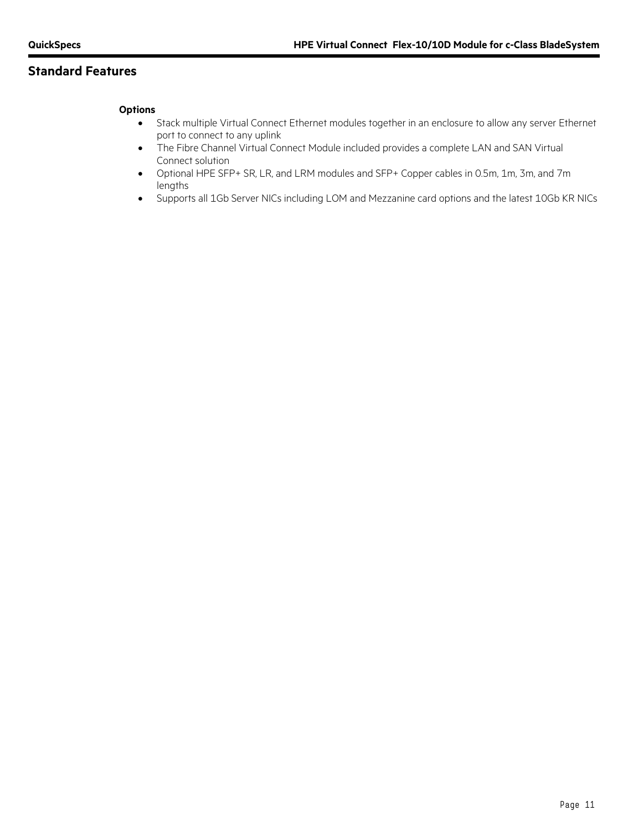# **Standard Features**

## **Options**

- Stack multiple Virtual Connect Ethernet modules together in an enclosure to allow any server Ethernet port to connect to any uplink
- The Fibre Channel Virtual Connect Module included provides a complete LAN and SAN Virtual Connect solution
- Optional HPE SFP+ SR, LR, and LRM modules and SFP+ Copper cables in 0.5m, 1m, 3m, and 7m lengths
- Supports all 1Gb Server NICs including LOM and Mezzanine card options and the latest 10Gb KR NICs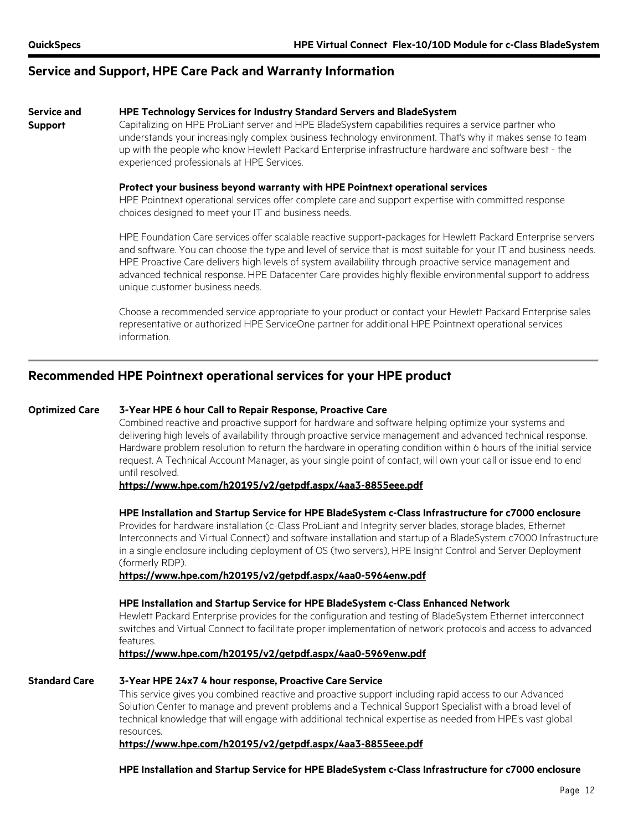**Support**

## **Service and Support, HPE Care Pack and Warranty Information**

#### **Service and HPE Technology Services for Industry Standard Servers and BladeSystem**

Capitalizing on HPE ProLiant server and HPE BladeSystem capabilities requires a service partner who understands your increasingly complex business technology environment. That's why it makes sense to team up with the people who know Hewlett Packard Enterprise infrastructure hardware and software best - the experienced professionals at HPE Services.

#### **Protect your business beyond warranty with HPE Pointnext operational services**

HPE Pointnext operational services offer complete care and support expertise with committed response choices designed to meet your IT and business needs.

HPE Foundation Care services offer scalable reactive support-packages for Hewlett Packard Enterprise servers and software. You can choose the type and level of service that is most suitable for your IT and business needs. HPE Proactive Care delivers high levels of system availability through proactive service management and advanced technical response. HPE Datacenter Care provides highly flexible environmental support to address unique customer business needs.

Choose a recommended service appropriate to your product or contact your Hewlett Packard Enterprise sales representative or authorized HPE ServiceOne partner for additional HPE Pointnext operational services information.

## **Recommended HPE Pointnext operational services for your HPE product**

## **Optimized Care 3-Year HPE 6 hour Call to Repair Response, Proactive Care**

Combined reactive and proactive support for hardware and software helping optimize your systems and delivering high levels of availability through proactive service management and advanced technical response. Hardware problem resolution to return the hardware in operating condition within 6 hours of the initial service request. A Technical Account Manager, as your single point of contact, will own your call or issue end to end until resolved.

**<https://www.hpe.com/h20195/v2/getpdf.aspx/4aa3-8855eee.pdf>**

## **HPE Installation and Startup Service for HPE BladeSystem c-Class Infrastructure for c7000 enclosure**

Provides for hardware installation (c-Class ProLiant and Integrity server blades, storage blades, Ethernet Interconnects and Virtual Connect) and software installation and startup of a BladeSystem c7000 Infrastructure in a single enclosure including deployment of OS (two servers), HPE Insight Control and Server Deployment (formerly RDP).

**<https://www.hpe.com/h20195/v2/getpdf.aspx/4aa0-5964enw.pdf>**

## **HPE Installation and Startup Service for HPE BladeSystem c-Class Enhanced Network**

Hewlett Packard Enterprise provides for the configuration and testing of BladeSystem Ethernet interconnect switches and Virtual Connect to facilitate proper implementation of network protocols and access to advanced features.

**<https://www.hpe.com/h20195/v2/getpdf.aspx/4aa0-5969enw.pdf>**

## **Standard Care 3-Year HPE 24x7 4 hour response, Proactive Care Service**

This service gives you combined reactive and proactive support including rapid access to our Advanced Solution Center to manage and prevent problems and a Technical Support Specialist with a broad level of technical knowledge that will engage with additional technical expertise as needed from HPE's vast global resources.

## **<https://www.hpe.com/h20195/v2/getpdf.aspx/4aa3-8855eee.pdf>**

**HPE Installation and Startup Service for HPE BladeSystem c-Class Infrastructure for c7000 enclosure**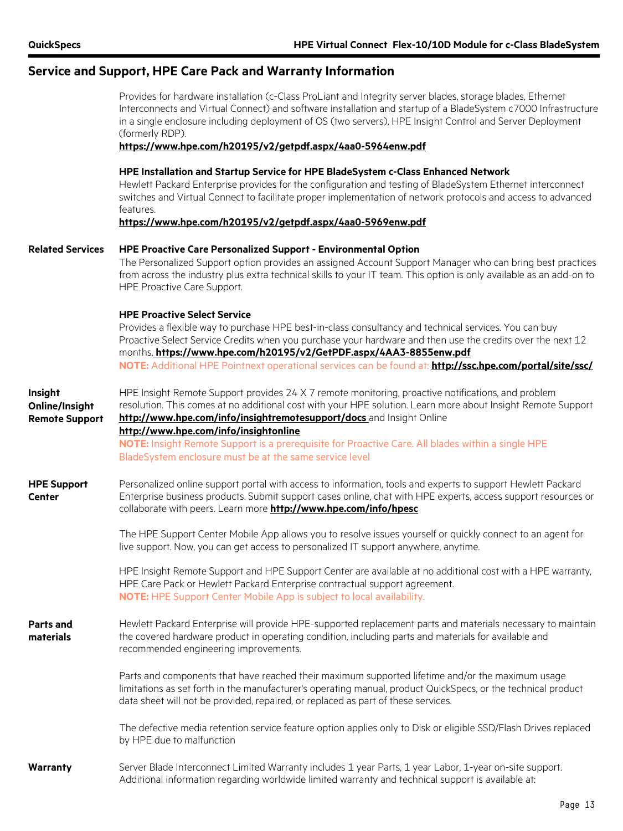## **Service and Support, HPE Care Pack and Warranty Information**

Provides for hardware installation (c-Class ProLiant and Integrity server blades, storage blades, Ethernet Interconnects and Virtual Connect) and software installation and startup of a BladeSystem c7000 Infrastructure in a single enclosure including deployment of OS (two servers), HPE Insight Control and Server Deployment (formerly RDP).

## **<https://www.hpe.com/h20195/v2/getpdf.aspx/4aa0-5964enw.pdf>**

#### **HPE Installation and Startup Service for HPE BladeSystem c-Class Enhanced Network**

Hewlett Packard Enterprise provides for the configuration and testing of BladeSystem Ethernet interconnect switches and Virtual Connect to facilitate proper implementation of network protocols and access to advanced features.

**<https://www.hpe.com/h20195/v2/getpdf.aspx/4aa0-5969enw.pdf>**

#### **Related Services HPE Proactive Care Personalized Support - Environmental Option**

The Personalized Support option provides an assigned Account Support Manager who can bring best practices from across the industry plus extra technical skills to your IT team. This option is only available as an add-on to HPE Proactive Care Support.

#### **HPE Proactive Select Service**

Provides a flexible way to purchase HPE best-in-class consultancy and technical services. You can buy Proactive Select Service Credits when you purchase your hardware and then use the credits over the next 12 months. **<https://www.hpe.com/h20195/v2/GetPDF.aspx/4AA3-8855enw.pdf> NOTE:** Additional HPE Pointnext operational services can be found at: **<http://ssc.hpe.com/portal/site/ssc/>** HPE Insight Remote Support provides 24 X 7 remote monitoring, proactive notifications, and problem

**Insight Online/Insight Remote Support** resolution. This comes at no additional cost with your HPE solution. Learn more about Insight Remote Support **http://www.hpe.com/info/insightremotesupport/docs** and Insight Online

## **http://www.hpe.com/info/insightonline**

**NOTE:** Insight Remote Support is a prerequisite for Proactive Care. All blades within a single HPE BladeSystem enclosure must be at the same service level

**HPE Support Center** Personalized online support portal with access to information, tools and experts to support Hewlett Packard Enterprise business products. Submit support cases online, chat with HPE experts, access support resources or collaborate with peers. Learn more **<http://www.hpe.com/info/hpesc>**

> The HPE Support Center Mobile App allows you to resolve issues yourself or quickly connect to an agent for live support. Now, you can get access to personalized IT support anywhere, anytime.

HPE Insight Remote Support and HPE Support Center are available at no additional cost with a HPE warranty, HPE Care Pack or Hewlett Packard Enterprise contractual support agreement. **NOTE:** HPE Support Center Mobile App is subject to local availability.

#### **Parts and materials**  Hewlett Packard Enterprise will provide HPE-supported replacement parts and materials necessary to maintain the covered hardware product in operating condition, including parts and materials for available and recommended engineering improvements.

Parts and components that have reached their maximum supported lifetime and/or the maximum usage limitations as set forth in the manufacturer's operating manual, product QuickSpecs, or the technical product data sheet will not be provided, repaired, or replaced as part of these services.

The defective media retention service feature option applies only to Disk or eligible SSD/Flash Drives replaced by HPE due to malfunction

## **Warranty** Server Blade Interconnect Limited Warranty includes 1 year Parts, 1 year Labor, 1-year on-site support. Additional information regarding worldwide limited warranty and technical support is available at: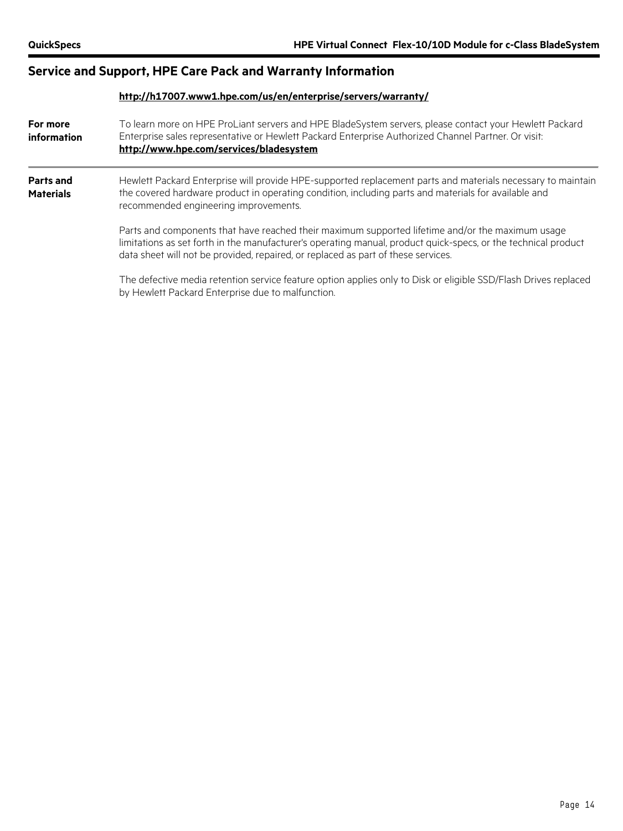# **Service and Support, HPE Care Pack and Warranty Information**

|                                      | http://h17007.www1.hpe.com/us/en/enterprise/servers/warranty/                                                                                                                                                                                                                                           |  |  |  |
|--------------------------------------|---------------------------------------------------------------------------------------------------------------------------------------------------------------------------------------------------------------------------------------------------------------------------------------------------------|--|--|--|
| For more<br>information              | To learn more on HPE ProLiant servers and HPE BladeSystem servers, please contact your Hewlett Packard<br>Enterprise sales representative or Hewlett Packard Enterprise Authorized Channel Partner. Or visit:<br>http://www.hpe.com/services/bladesystem                                                |  |  |  |
| <b>Parts and</b><br><b>Materials</b> | Hewlett Packard Enterprise will provide HPE-supported replacement parts and materials necessary to maintain<br>the covered hardware product in operating condition, including parts and materials for available and<br>recommended engineering improvements.                                            |  |  |  |
|                                      | Parts and components that have reached their maximum supported lifetime and/or the maximum usage<br>limitations as set forth in the manufacturer's operating manual, product quick-specs, or the technical product<br>data sheet will not be provided, repaired, or replaced as part of these services. |  |  |  |
|                                      | The defective media retention service feature option applies only to Disk or eligible SSD/Flash Drives replaced<br>by Hewlett Packard Enterprise due to malfunction.                                                                                                                                    |  |  |  |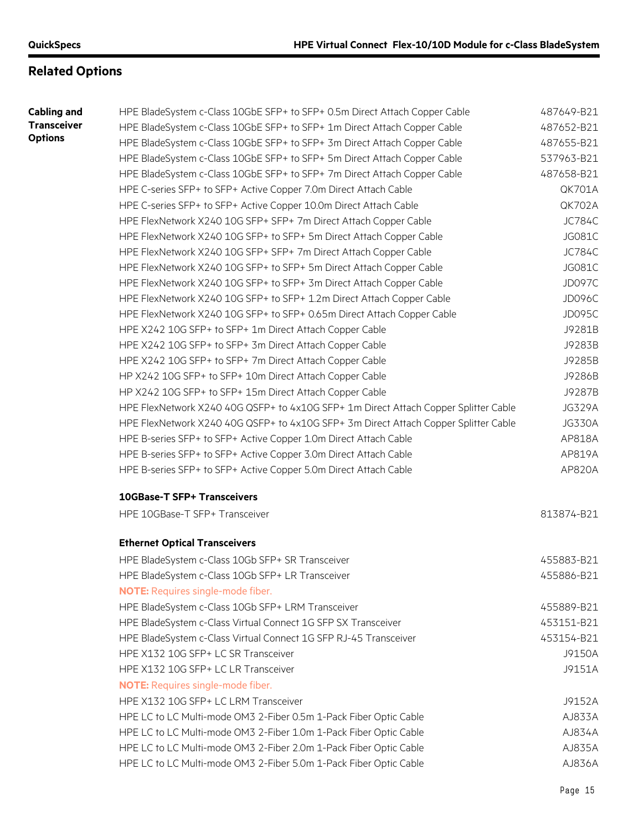# **Related Options**

| Cabling and        |  |
|--------------------|--|
| <b>Transceiver</b> |  |
| <b>Options</b>     |  |

| nd  | HPE BladeSystem c-Class 10GbE SFP+ to SFP+ 0.5m Direct Attach Copper Cable          | 487649-B21    |
|-----|-------------------------------------------------------------------------------------|---------------|
| /er | HPE BladeSystem c-Class 10GbE SFP+ to SFP+ 1m Direct Attach Copper Cable            | 487652-B21    |
|     | HPE BladeSystem c-Class 10GbE SFP+ to SFP+ 3m Direct Attach Copper Cable            | 487655-B21    |
|     | HPE BladeSystem c-Class 10GbE SFP+ to SFP+ 5m Direct Attach Copper Cable            | 537963-B21    |
|     | HPE BladeSystem c-Class 10GbE SFP+ to SFP+ 7m Direct Attach Copper Cable            | 487658-B21    |
|     | HPE C-series SFP+ to SFP+ Active Copper 7.0m Direct Attach Cable                    | <b>QK701A</b> |
|     | HPE C-series SFP+ to SFP+ Active Copper 10.0m Direct Attach Cable                   | <b>QK702A</b> |
|     | HPE FlexNetwork X240 10G SFP+ SFP+ 7m Direct Attach Copper Cable                    | <b>JC784C</b> |
|     | HPE FlexNetwork X240 10G SFP+ to SFP+ 5m Direct Attach Copper Cable                 | JG081C        |
|     | HPE FlexNetwork X240 10G SFP+ SFP+ 7m Direct Attach Copper Cable                    | <b>JC784C</b> |
|     | HPE FlexNetwork X240 10G SFP+ to SFP+ 5m Direct Attach Copper Cable                 | JG081C        |
|     | HPE FlexNetwork X240 10G SFP+ to SFP+ 3m Direct Attach Copper Cable                 | <b>JD097C</b> |
|     | HPE FlexNetwork X240 10G SFP+ to SFP+ 1.2m Direct Attach Copper Cable               | <b>JD096C</b> |
|     | HPE FlexNetwork X240 10G SFP+ to SFP+ 0.65m Direct Attach Copper Cable              | <b>JD095C</b> |
|     | HPE X242 10G SFP+ to SFP+ 1m Direct Attach Copper Cable                             | J9281B        |
|     | HPE X242 10G SFP+ to SFP+ 3m Direct Attach Copper Cable                             | J9283B        |
|     | HPE X242 10G SFP+ to SFP+ 7m Direct Attach Copper Cable                             | J9285B        |
|     | HP X242 10G SFP+ to SFP+ 10m Direct Attach Copper Cable                             | J9286B        |
|     | HP X242 10G SFP+ to SFP+ 15m Direct Attach Copper Cable                             | J9287B        |
|     | HPE FlexNetwork X240 40G QSFP+ to 4x10G SFP+ 1m Direct Attach Copper Splitter Cable | <b>JG329A</b> |
|     | HPE FlexNetwork X240 40G QSFP+ to 4x10G SFP+ 3m Direct Attach Copper Splitter Cable | <b>JG330A</b> |
|     | HPE B-series SFP+ to SFP+ Active Copper 1.0m Direct Attach Cable                    | AP818A        |
|     | HPE B-series SFP+ to SFP+ Active Copper 3.0m Direct Attach Cable                    | AP819A        |
|     | HPE B-series SFP+ to SFP+ Active Copper 5.0m Direct Attach Cable                    | AP820A        |
|     | <b>10GBase-T SFP+ Transceivers</b>                                                  |               |
|     | HPE 10GBase-T SFP+ Transceiver                                                      | 813874-B21    |
|     | <b>Ethernet Optical Transceivers</b>                                                |               |
|     | HPE BladeSystem c-Class 10Gb SFP+ SR Transceiver                                    | 455883-B21    |
|     | HPE BladeSystem c-Class 10Gb SFP+ LR Transceiver                                    | 455886-B21    |
|     | <b>NOTE:</b> Requires single-mode fiber.                                            |               |
|     | HPE BladeSystem c-Class 10Gb SFP+ LRM Transceiver                                   | 455889-B21    |
|     | HPE BladeSystem c-Class Virtual Connect 1G SFP SX Transceiver                       | 453151-B21    |
|     | HPE BladeSystem c-Class Virtual Connect 1G SFP RJ-45 Transceiver                    | 453154-B21    |
|     | HPE X132 10G SFP+ LC SR Transceiver                                                 | J9150A        |
|     | HPE X132 10G SFP+ LC LR Transceiver                                                 | J9151A        |
|     | <b>NOTE:</b> Requires single-mode fiber.                                            |               |
|     | HPE X132 10G SFP+ LC LRM Transceiver                                                | J9152A        |
|     |                                                                                     |               |
|     | HPE LC to LC Multi-mode OM3 2-Fiber 0.5m 1-Pack Fiber Optic Cable                   | AJ833A        |
|     | HPE LC to LC Multi-mode OM3 2-Fiber 1.0m 1-Pack Fiber Optic Cable                   | AJ834A        |
|     | HPE LC to LC Multi-mode OM3 2-Fiber 2.0m 1-Pack Fiber Optic Cable                   | AJ835A        |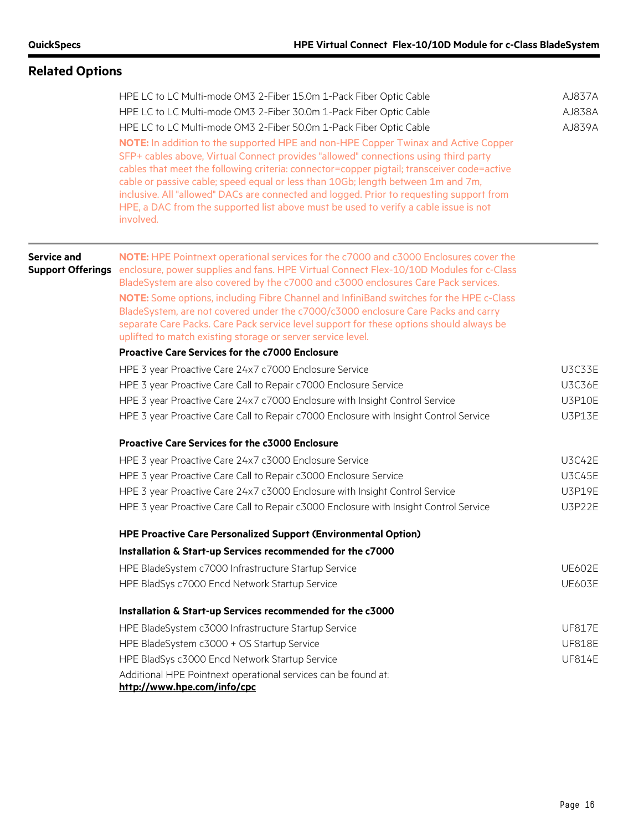# **Related Options** HPE LC to LC Multi-mode OM3 2-Fiber 15.0m 1-Pack Fiber Optic Cable AJ837A HPE LC to LC Multi-mode OM3 2-Fiber 30.0m 1-Pack Fiber Optic Cable AJ838A HPE LC to LC Multi-mode OM3 2-Fiber 50.0m 1-Pack Fiber Optic Cable AJ839A **NOTE:** In addition to the supported HPE and non-HPE Copper Twinax and Active Copper SFP+ cables above, Virtual Connect provides "allowed" connections using third party cables that meet the following criteria: connector=copper pigtail; transceiver code=active cable or passive cable; speed equal or less than 10Gb; length between 1m and 7m, inclusive. All "allowed" DACs are connected and logged. Prior to requesting support from HPE, a DAC from the supported list above must be used to verify a cable issue is not involved. **Service and Support Offerings** enclosure, power supplies and fans. HPE Virtual Connect Flex-10/10D Modules for c-Class **NOTE:** HPE Pointnext operational services for the c7000 and c3000 Enclosures cover the BladeSystem are also covered by the c7000 and c3000 enclosures Care Pack services. **NOTE:** Some options, including Fibre Channel and InfiniBand switches for the HPE c-Class BladeSystem, are not covered under the c7000/c3000 enclosure Care Packs and carry separate Care Packs. Care Pack service level support for these options should always be uplifted to match existing storage or server service level. **Proactive Care Services for the c7000 Enclosure** HPE 3 year Proactive Care 24x7 c7000 Enclosure Service New York Number 24x7 c7000 Enclosure Service HPE 3 year Proactive Care Call to Repair c7000 Enclosure Service **The Case Care Canadian** U3C36E HPE 3 year Proactive Care 24x7 c7000 Enclosure with Insight Control Service U3P10E HPE 3 year Proactive Care Call to Repair c7000 Enclosure with Insight Control Service U3P13E **Proactive Care Services for the c3000 Enclosure** HPE 3 year Proactive Care 24x7 c3000 Enclosure Service USC42E HPE 3 year Proactive Care Call to Repair c3000 Enclosure Service New Management C3C45E HPE 3 year Proactive Care 24x7 c3000 Enclosure with Insight Control Service U3P19E HPE 3 year Proactive Care Call to Repair c3000 Enclosure with Insight Control Service U3P22E **HPE Proactive Care Personalized Support (Environmental Option) Installation & Start-up Services recommended for the c7000** HPE BladeSystem c7000 Infrastructure Startup Service New York New York New York UE602E HPE BladSys c7000 Encd Network Startup Service Network Startup Service UE603E **Installation & Start-up Services recommended for the c3000** HPE BladeSystem c3000 Infrastructure Startup Service New York New York 17 New York 17 New York 17 New York 18 HPE BladeSystem c3000 + OS Startup Service UF818E HPE BladSys c3000 Encd Network Startup Service Network Startup Service UF814E Additional HPE Pointnext operational services can be found at: **<http://www.hpe.com/info/cpc>**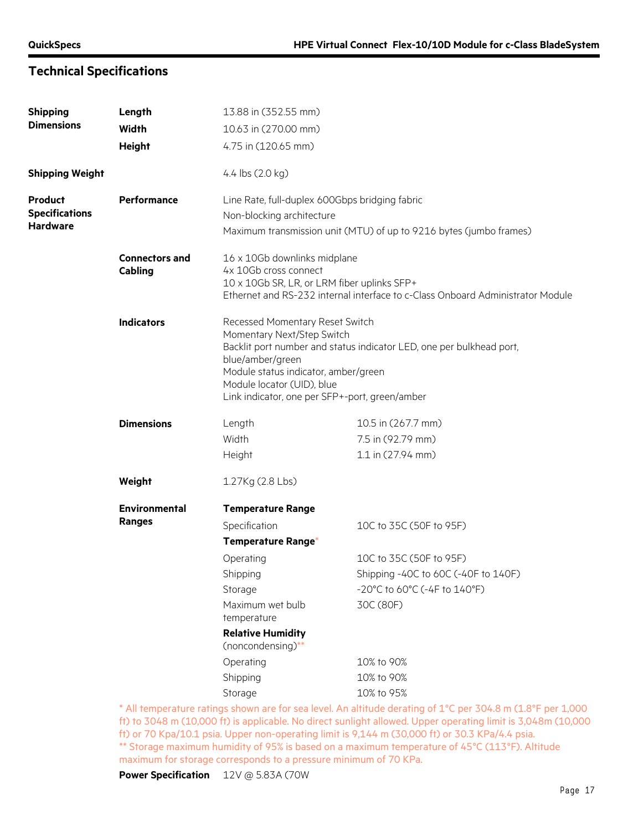# **Technical Specifications**

| <b>Shipping</b>        | Length                           | 13.88 in (352.55 mm)                                                                                                                                                                                      |                                                                                                                 |
|------------------------|----------------------------------|-----------------------------------------------------------------------------------------------------------------------------------------------------------------------------------------------------------|-----------------------------------------------------------------------------------------------------------------|
| <b>Dimensions</b>      | <b>Width</b>                     | 10.63 in (270.00 mm)                                                                                                                                                                                      |                                                                                                                 |
|                        | <b>Height</b>                    | 4.75 in (120.65 mm)                                                                                                                                                                                       |                                                                                                                 |
| <b>Shipping Weight</b> |                                  | 4.4 lbs (2.0 kg)                                                                                                                                                                                          |                                                                                                                 |
| Product                | Performance                      | Line Rate, full-duplex 600Gbps bridging fabric                                                                                                                                                            |                                                                                                                 |
| <b>Specifications</b>  |                                  | Non-blocking architecture                                                                                                                                                                                 |                                                                                                                 |
| <b>Hardware</b>        |                                  |                                                                                                                                                                                                           | Maximum transmission unit (MTU) of up to 9216 bytes (jumbo frames)                                              |
|                        | <b>Connectors and</b><br>Cabling | 16 x 10Gb downlinks midplane<br>4x 10Gb cross connect<br>10 x 10Gb SR, LR, or LRM fiber uplinks SFP+                                                                                                      | Ethernet and RS-232 internal interface to c-Class Onboard Administrator Module                                  |
|                        | <b>Indicators</b>                | Recessed Momentary Reset Switch<br>Momentary Next/Step Switch<br>blue/amber/green<br>Module status indicator, amber/green<br>Module locator (UID), blue<br>Link indicator, one per SFP+-port, green/amber | Backlit port number and status indicator LED, one per bulkhead port,                                            |
|                        | <b>Dimensions</b>                | Length                                                                                                                                                                                                    | 10.5 in (267.7 mm)                                                                                              |
|                        |                                  | Width                                                                                                                                                                                                     | 7.5 in (92.79 mm)                                                                                               |
|                        |                                  | Height                                                                                                                                                                                                    | 1.1 in (27.94 mm)                                                                                               |
|                        | Weight                           | 1.27Kg (2.8 Lbs)                                                                                                                                                                                          |                                                                                                                 |
|                        | <b>Environmental</b>             | <b>Temperature Range</b>                                                                                                                                                                                  |                                                                                                                 |
|                        | Ranges                           | Specification                                                                                                                                                                                             | 10C to 35C (50F to 95F)                                                                                         |
|                        |                                  | Temperature Range*                                                                                                                                                                                        |                                                                                                                 |
|                        |                                  | Operating                                                                                                                                                                                                 | 10C to 35C (50F to 95F)                                                                                         |
|                        |                                  | Shipping                                                                                                                                                                                                  | Shipping -40C to 60C (-40F to 140F)                                                                             |
|                        |                                  | Storage                                                                                                                                                                                                   | $-20^{\circ}$ C to 60 $^{\circ}$ C (-4F to 140 $^{\circ}$ F)                                                    |
|                        |                                  | Maximum wet bulb<br>temperature                                                                                                                                                                           | 30C (80F)                                                                                                       |
|                        |                                  | <b>Relative Humidity</b><br>(noncondensing)**                                                                                                                                                             |                                                                                                                 |
|                        |                                  | Operating                                                                                                                                                                                                 | 10% to 90%                                                                                                      |
|                        |                                  | Shipping                                                                                                                                                                                                  | 10% to 90%                                                                                                      |
|                        |                                  | Storage                                                                                                                                                                                                   | 10% to 95%                                                                                                      |
|                        |                                  |                                                                                                                                                                                                           | $*$ All temperature ratings shown are for sea level. An altitude derating of 1 °C per 30/68 m (1.8 °F per 1.00) |

All temperature ratings shown are for sea level. An altitude derating of  $1^{\circ}$ C per 304.8 m (1.8°F per 1,000 ft) to 3048 m (10,000 ft) is applicable. No direct sunlight allowed. Upper operating limit is 3,048m (10,000 ft) or 70 Kpa/10.1 psia. Upper non-operating limit is 9,144 m (30,000 ft) or 30.3 KPa/4.4 psia. \*\* Storage maximum humidity of 95% is based on a maximum temperature of 45°C (113°F). Altitude maximum for storage corresponds to a pressure minimum of 70 KPa.

**Power Specification** 12V @ 5.83A (70W)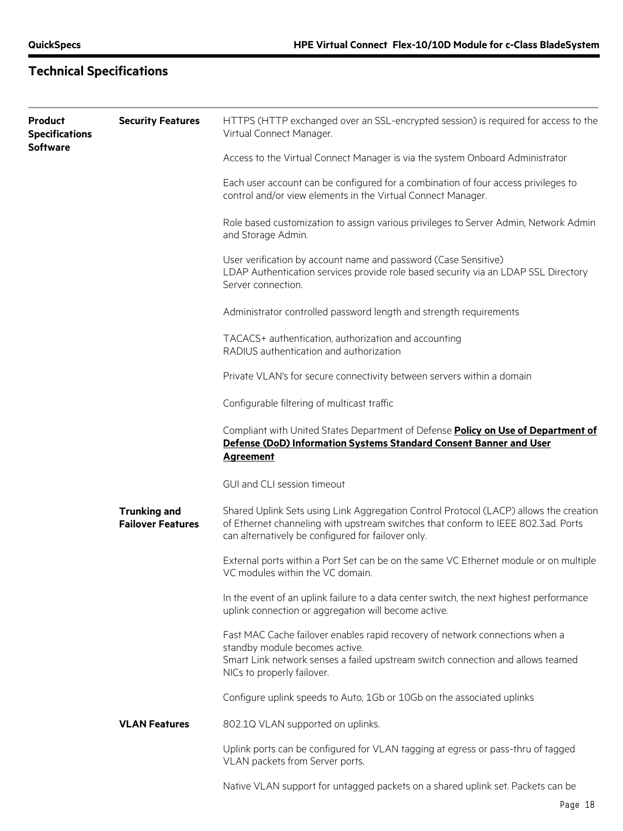# **Technical Specifications**

| Product<br><b>Specifications</b><br>Software | <b>Security Features</b>                        | HTTPS (HTTP exchanged over an SSL-encrypted session) is required for access to the<br>Virtual Connect Manager.                                                                                                                   |
|----------------------------------------------|-------------------------------------------------|----------------------------------------------------------------------------------------------------------------------------------------------------------------------------------------------------------------------------------|
|                                              |                                                 | Access to the Virtual Connect Manager is via the system Onboard Administrator                                                                                                                                                    |
|                                              |                                                 | Each user account can be configured for a combination of four access privileges to<br>control and/or view elements in the Virtual Connect Manager.                                                                               |
|                                              |                                                 | Role based customization to assign various privileges to Server Admin, Network Admin<br>and Storage Admin.                                                                                                                       |
|                                              |                                                 | User verification by account name and password (Case Sensitive)<br>LDAP Authentication services provide role based security via an LDAP SSL Directory<br>Server connection.                                                      |
|                                              |                                                 | Administrator controlled password length and strength requirements                                                                                                                                                               |
|                                              |                                                 | TACACS+ authentication, authorization and accounting<br>RADIUS authentication and authorization                                                                                                                                  |
|                                              |                                                 | Private VLAN's for secure connectivity between servers within a domain                                                                                                                                                           |
|                                              |                                                 | Configurable filtering of multicast traffic                                                                                                                                                                                      |
|                                              |                                                 | Compliant with United States Department of Defense Policy on Use of Department of<br>Defense (DoD) Information Systems Standard Consent Banner and User<br><b>Agreement</b>                                                      |
|                                              |                                                 | GUI and CLI session timeout                                                                                                                                                                                                      |
|                                              | <b>Trunking and</b><br><b>Failover Features</b> | Shared Uplink Sets using Link Aggregation Control Protocol (LACP) allows the creation<br>of Ethernet channeling with upstream switches that conform to IEEE 802.3ad. Ports<br>can alternatively be configured for failover only. |
|                                              |                                                 | External ports within a Port Set can be on the same VC Ethernet module or on multiple<br>VC modules within the VC domain.                                                                                                        |
|                                              |                                                 | In the event of an uplink failure to a data center switch, the next highest performance<br>uplink connection or aggregation will become active.                                                                                  |
|                                              |                                                 | Fast MAC Cache failover enables rapid recovery of network connections when a<br>standby module becomes active.<br>Smart Link network senses a failed upstream switch connection and allows teamed<br>NICs to properly failover.  |
|                                              |                                                 | Configure uplink speeds to Auto, 1Gb or 10Gb on the associated uplinks                                                                                                                                                           |
|                                              | <b>VLAN Features</b>                            | 802.1Q VLAN supported on uplinks.                                                                                                                                                                                                |
|                                              |                                                 | Uplink ports can be configured for VLAN tagging at egress or pass-thru of tagged<br>VLAN packets from Server ports.                                                                                                              |
|                                              |                                                 | Native VLAN support for untagged packets on a shared uplink set. Packets can be                                                                                                                                                  |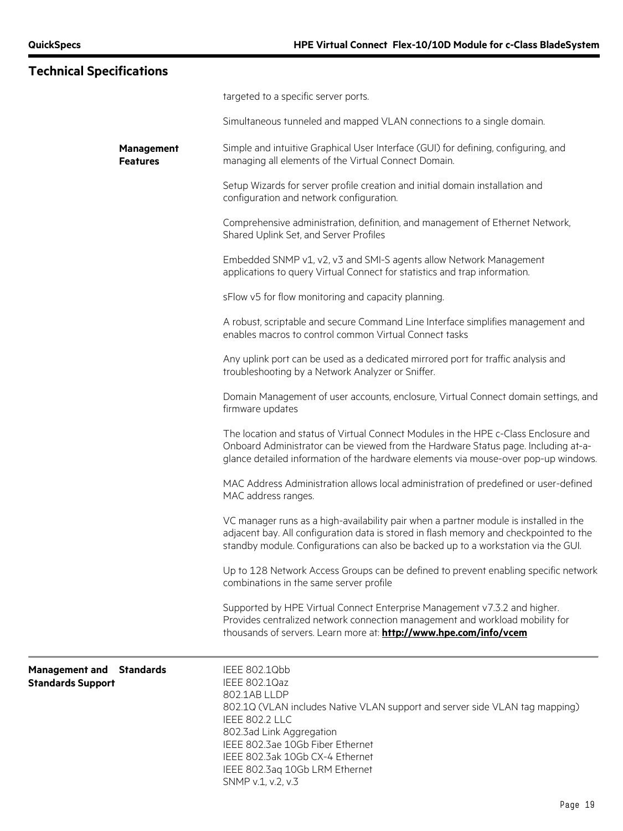|                          | <b>Technical Specifications</b>      |                                                                                                                                                                                                                                                                                                            |
|--------------------------|--------------------------------------|------------------------------------------------------------------------------------------------------------------------------------------------------------------------------------------------------------------------------------------------------------------------------------------------------------|
|                          |                                      | targeted to a specific server ports.                                                                                                                                                                                                                                                                       |
|                          |                                      | Simultaneous tunneled and mapped VLAN connections to a single domain.                                                                                                                                                                                                                                      |
|                          | <b>Management</b><br><b>Features</b> | Simple and intuitive Graphical User Interface (GUI) for defining, configuring, and<br>managing all elements of the Virtual Connect Domain.                                                                                                                                                                 |
|                          |                                      | Setup Wizards for server profile creation and initial domain installation and<br>configuration and network configuration.                                                                                                                                                                                  |
|                          |                                      | Comprehensive administration, definition, and management of Ethernet Network,<br>Shared Uplink Set, and Server Profiles                                                                                                                                                                                    |
|                          |                                      | Embedded SNMP v1, v2, v3 and SMI-S agents allow Network Management<br>applications to query Virtual Connect for statistics and trap information.                                                                                                                                                           |
|                          |                                      | sFlow v5 for flow monitoring and capacity planning.                                                                                                                                                                                                                                                        |
|                          |                                      | A robust, scriptable and secure Command Line Interface simplifies management and<br>enables macros to control common Virtual Connect tasks                                                                                                                                                                 |
|                          |                                      | Any uplink port can be used as a dedicated mirrored port for traffic analysis and<br>troubleshooting by a Network Analyzer or Sniffer.                                                                                                                                                                     |
|                          |                                      | Domain Management of user accounts, enclosure, Virtual Connect domain settings, and<br>firmware updates                                                                                                                                                                                                    |
|                          |                                      | The location and status of Virtual Connect Modules in the HPE c-Class Enclosure and<br>Onboard Administrator can be viewed from the Hardware Status page. Including at-a-<br>glance detailed information of the hardware elements via mouse-over pop-up windows.                                           |
|                          |                                      | MAC Address Administration allows local administration of predefined or user-defined<br>MAC address ranges.                                                                                                                                                                                                |
|                          |                                      | VC manager runs as a high-availability pair when a partner module is installed in the<br>adjacent bay. All configuration data is stored in flash memory and checkpointed to the<br>standby module. Configurations can also be backed up to a workstation via the GUI.                                      |
|                          |                                      | Up to 128 Network Access Groups can be defined to prevent enabling specific network<br>combinations in the same server profile                                                                                                                                                                             |
|                          |                                      | Supported by HPE Virtual Connect Enterprise Management v7.3.2 and higher.<br>Provides centralized network connection management and workload mobility for<br>thousands of servers. Learn more at: http://www.hpe.com/info/vcem                                                                             |
| <b>Standards Support</b> | <b>Management and Standards</b>      | IEEE 802.1Qbb<br>IEEE 802.1Qaz<br>802.1AB LLDP<br>802.1Q (VLAN includes Native VLAN support and server side VLAN tag mapping)<br>IEEE 802.2 LLC<br>802.3ad Link Aggregation<br>IEEE 802.3ae 10Gb Fiber Ethernet<br>IEEE 802.3ak 10Gb CX-4 Ethernet<br>IEEE 802.3aq 10Gb LRM Ethernet<br>SNMP v.1, v.2, v.3 |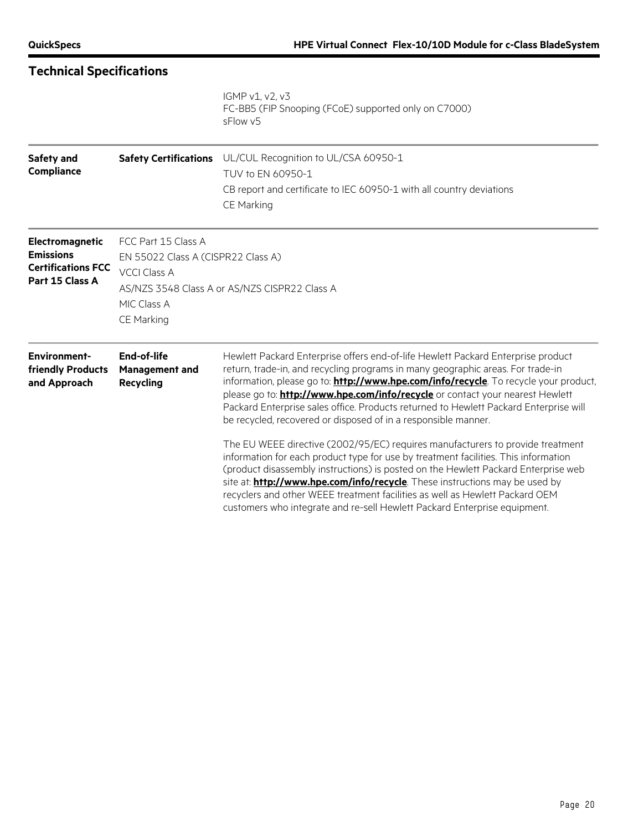| <b>Technical Specifications</b>                                                     |                                                                                                               |                                                                                                                                                                                                                                                                                                                                                                                                                                                                                                                                                                                                                                                                                                                                                                                                                                                                                                                                                                                                                                           |
|-------------------------------------------------------------------------------------|---------------------------------------------------------------------------------------------------------------|-------------------------------------------------------------------------------------------------------------------------------------------------------------------------------------------------------------------------------------------------------------------------------------------------------------------------------------------------------------------------------------------------------------------------------------------------------------------------------------------------------------------------------------------------------------------------------------------------------------------------------------------------------------------------------------------------------------------------------------------------------------------------------------------------------------------------------------------------------------------------------------------------------------------------------------------------------------------------------------------------------------------------------------------|
|                                                                                     |                                                                                                               | IGMP v1, v2, v3<br>FC-BB5 (FIP Snooping (FCoE) supported only on C7000)<br>sFlow v5                                                                                                                                                                                                                                                                                                                                                                                                                                                                                                                                                                                                                                                                                                                                                                                                                                                                                                                                                       |
| Safety and<br><b>Compliance</b>                                                     | <b>Safety Certifications</b>                                                                                  | UL/CUL Recognition to UL/CSA 60950-1<br>TUV to EN 60950-1<br>CB report and certificate to IEC 60950-1 with all country deviations<br>CE Marking                                                                                                                                                                                                                                                                                                                                                                                                                                                                                                                                                                                                                                                                                                                                                                                                                                                                                           |
| Electromagnetic<br><b>Emissions</b><br><b>Certifications FCC</b><br>Part 15 Class A | FCC Part 15 Class A<br>EN 55022 Class A (CISPR22 Class A)<br><b>VCCI Class A</b><br>MIC Class A<br>CE Marking | AS/NZS 3548 Class A or AS/NZS CISPR22 Class A                                                                                                                                                                                                                                                                                                                                                                                                                                                                                                                                                                                                                                                                                                                                                                                                                                                                                                                                                                                             |
| <b>Environment-</b><br>friendly Products<br>and Approach                            | End-of-life<br>Management and<br><b>Recycling</b>                                                             | Hewlett Packard Enterprise offers end-of-life Hewlett Packard Enterprise product<br>return, trade-in, and recycling programs in many geographic areas. For trade-in<br>information, please go to: <b>http://www.hpe.com/info/recycle</b> . To recycle your product,<br>please go to: <b>http://www.hpe.com/info/recycle</b> or contact your nearest Hewlett<br>Packard Enterprise sales office. Products returned to Hewlett Packard Enterprise will<br>be recycled, recovered or disposed of in a responsible manner.<br>The EU WEEE directive (2002/95/EC) requires manufacturers to provide treatment<br>information for each product type for use by treatment facilities. This information<br>(product disassembly instructions) is posted on the Hewlett Packard Enterprise web<br>site at: <b>http://www.hpe.com/info/recycle</b> . These instructions may be used by<br>recyclers and other WEEE treatment facilities as well as Hewlett Packard OEM<br>customers who integrate and re-sell Hewlett Packard Enterprise equipment. |